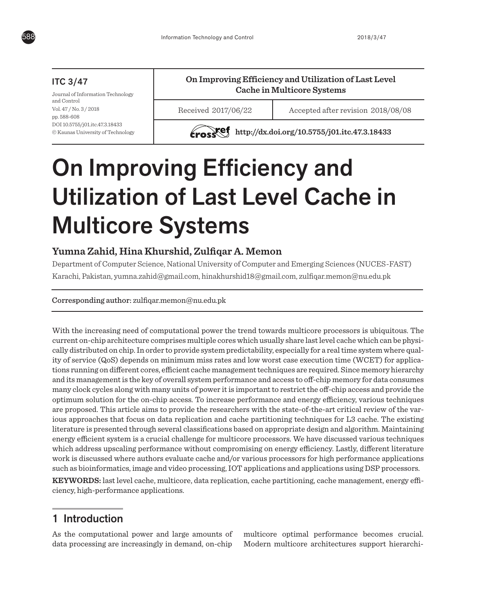

## ITC 3/47

Journal of Information Technology and Control Vol. 47 / No. 3 / 2018 pp. 588-608 DOI 10.5755/j01.itc.47.3.18433 © Kaunas University of Technology

# **On Improving Efficiency and Utilization of Last Level Cache in Multicore Systems**

Received 2017/06/22 Accepted after revision 2018/08/08

**http://dx.doi.org/10.5755/j01.itc.47.3.18433** 

# On Improving Efficiency and Utilization of Last Level Cache in Multicore Systems

# **Yumna Zahid, Hina Khurshid, Zulfiqar A. Memon**

Department of Computer Science, National University of Computer and Emerging Sciences (NUCES-FAST) Karachi, Pakistan, yumna.zahid@gmail.com, hinakhurshid18@gmail.com, zulfiqar.memon@nu.edu.pk

#### Corresponding author: zulfiqar.memon@nu.edu.pk

With the increasing need of computational power the trend towards multicore processors is ubiquitous. The current on-chip architecture comprises multiple cores which usually share last level cache which can be physically distributed on chip. In order to provide system predictability, especially for a real time system where quality of service (QoS) depends on minimum miss rates and low worst case execution time (WCET) for applications running on different cores, efficient cache management techniques are required. Since memory hierarchy and its management is the key of overall system performance and access to off-chip memory for data consumes many clock cycles along with many units of power it is important to restrict the off-chip access and provide the optimum solution for the on-chip access. To increase performance and energy efficiency, various techniques are proposed. This article aims to provide the researchers with the state-of-the-art critical review of the various approaches that focus on data replication and cache partitioning techniques for L3 cache. The existing literature is presented through several classifications based on appropriate design and algorithm. Maintaining energy efficient system is a crucial challenge for multicore processors. We have discussed various techniques which address upscaling performance without compromising on energy efficiency. Lastly, different literature work is discussed where authors evaluate cache and/or various processors for high performance applications such as bioinformatics, image and video processing, IOT applications and applications using DSP processors.

**KEYWORDS:** last level cache, multicore, data replication, cache partitioning, cache management, energy efficiency, high-performance applications.

# 1 Introduction

As the computational power and large amounts of data processing are increasingly in demand, on-chip

multicore optimal performance becomes crucial. Modern multicore architectures support hierarchi-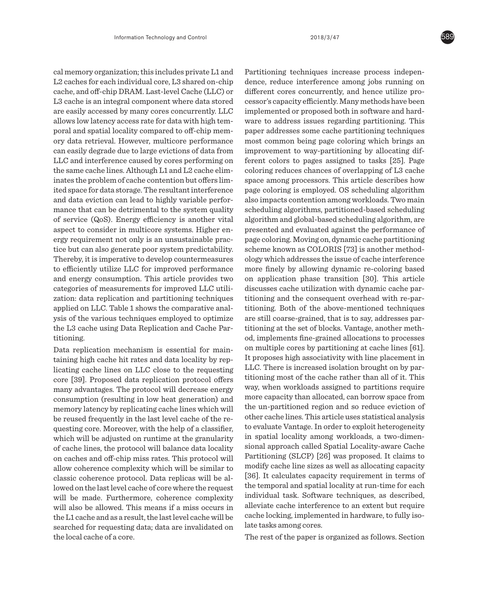cal memory organization; this includes private L1 and L2 caches for each individual core, L3 shared on-chip cache, and off-chip DRAM. Last-level Cache (LLC) or L3 cache is an integral component where data stored are easily accessed by many cores concurrently. LLC allows low latency access rate for data with high temporal and spatial locality compared to off-chip memory data retrieval. However, multicore performance can easily degrade due to large evictions of data from LLC and interference caused by cores performing on the same cache lines. Although L1 and L2 cache eliminates the problem of cache contention but offers limited space for data storage. The resultant interference and data eviction can lead to highly variable performance that can be detrimental to the system quality of service (QoS). Energy efficiency is another vital aspect to consider in multicore systems. Higher energy requirement not only is an unsustainable practice but can also generate poor system predictability. Thereby, it is imperative to develop countermeasures to efficiently utilize LLC for improved performance and energy consumption. This article provides two categories of measurements for improved LLC utilization: data replication and partitioning techniques applied on LLC. Table 1 shows the comparative analysis of the various techniques employed to optimize the L3 cache using Data Replication and Cache Partitioning.

Data replication mechanism is essential for maintaining high cache hit rates and data locality by replicating cache lines on LLC close to the requesting core [39]. Proposed data replication protocol offers many advantages. The protocol will decrease energy consumption (resulting in low heat generation) and memory latency by replicating cache lines which will be reused frequently in the last level cache of the requesting core. Moreover, with the help of a classifier, which will be adjusted on runtime at the granularity of cache lines, the protocol will balance data locality on caches and off-chip miss rates. This protocol will allow coherence complexity which will be similar to classic coherence protocol. Data replicas will be allowed on the last level cache of core where the request will be made. Furthermore, coherence complexity will also be allowed. This means if a miss occurs in the L1 cache and as a result, the last level cache will be searched for requesting data; data are invalidated on the local cache of a core.

Partitioning techniques increase process independence, reduce interference among jobs running on different cores concurrently, and hence utilize processor's capacity efficiently. Many methods have been implemented or proposed both in software and hardware to address issues regarding partitioning. This paper addresses some cache partitioning techniques most common being page coloring which brings an improvement to way-partitioning by allocating different colors to pages assigned to tasks [25]. Page coloring reduces chances of overlapping of L3 cache space among processors. This article describes how page coloring is employed. OS scheduling algorithm also impacts contention among workloads. Two main scheduling algorithms, partitioned-based scheduling algorithm and global-based scheduling algorithm, are presented and evaluated against the performance of page coloring. Moving on, dynamic cache partitioning scheme known as COLORIS [73] is another methodology which addresses the issue of cache interference more finely by allowing dynamic re-coloring based on application phase transition [30]. This article discusses cache utilization with dynamic cache partitioning and the consequent overhead with re-partitioning. Both of the above-mentioned techniques are still coarse-grained, that is to say, addresses partitioning at the set of blocks. Vantage, another method, implements fine-grained allocations to processes on multiple cores by partitioning at cache lines [61]. It proposes high associativity with line placement in LLC. There is increased isolation brought on by partitioning most of the cache rather than all of it. This way, when workloads assigned to partitions require more capacity than allocated, can borrow space from the un-partitioned region and so reduce eviction of other cache lines. This article uses statistical analysis to evaluate Vantage. In order to exploit heterogeneity in spatial locality among workloads, a two-dimensional approach called Spatial Locality-aware Cache Partitioning (SLCP) [26] was proposed. It claims to modify cache line sizes as well as allocating capacity [36]. It calculates capacity requirement in terms of the temporal and spatial locality at run-time for each individual task. Software techniques, as described, alleviate cache interference to an extent but require cache locking, implemented in hardware, to fully isolate tasks among cores.

The rest of the paper is organized as follows. Section

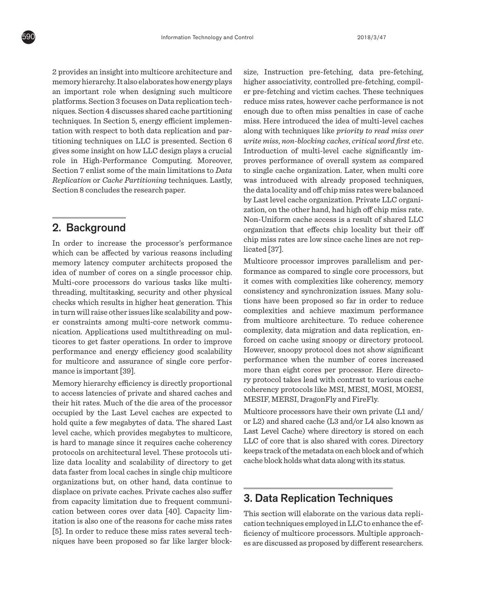2 provides an insight into multicore architecture and memory hierarchy. It also elaborates how energy plays an important role when designing such multicore platforms. Section 3 focuses on Data replication techniques. Section 4 discusses shared cache partitioning techniques. In Section 5, energy efficient implementation with respect to both data replication and partitioning techniques on LLC is presented. Section 6 gives some insight on how LLC design plays a crucial role in High-Performance Computing. Moreover, Section 7 enlist some of the main limitations to *Data Replication* or *Cache Partitioning* techniques. Lastly, Section 8 concludes the research paper.

# 2. Background

In order to increase the processor's performance which can be affected by various reasons including memory latency computer architects proposed the idea of number of cores on a single processor chip. Multi-core processors do various tasks like multithreading, multitasking, security and other physical checks which results in higher heat generation. This in turn will raise other issues like scalability and power constraints among multi-core network communication. Applications used multithreading on multicores to get faster operations. In order to improve performance and energy efficiency good scalability for multicore and assurance of single core performance is important [39].

Memory hierarchy efficiency is directly proportional to access latencies of private and shared caches and their hit rates. Much of the die area of the processor occupied by the Last Level caches are expected to hold quite a few megabytes of data. The shared Last level cache, which provides megabytes to multicore, is hard to manage since it requires cache coherency protocols on architectural level. These protocols utilize data locality and scalability of directory to get data faster from local caches in single chip multicore organizations but, on other hand, data continue to displace on private caches. Private caches also suffer from capacity limitation due to frequent communication between cores over data [40]. Capacity limitation is also one of the reasons for cache miss rates [5]. In order to reduce these miss rates several techniques have been proposed so far like larger blocksize, Instruction pre-fetching, data pre-fetching, higher associativity, controlled pre-fetching, compiler pre-fetching and victim caches. These techniques reduce miss rates, however cache performance is not enough due to often miss penalties in case of cache miss. Here introduced the idea of multi-level caches along with techniques like *priority to read miss over write miss*, *non-blocking caches*, *critical word first* etc. Introduction of multi-level cache significantly improves performance of overall system as compared to single cache organization. Later, when multi core was introduced with already proposed techniques, the data locality and off chip miss rates were balanced by Last level cache organization. Private LLC organization, on the other hand, had high off chip miss rate. Non-Uniform cache access is a result of shared LLC organization that effects chip locality but their off chip miss rates are low since cache lines are not replicated [37].

Multicore processor improves parallelism and performance as compared to single core processors, but it comes with complexities like coherency, memory consistency and synchronization issues. Many solutions have been proposed so far in order to reduce complexities and achieve maximum performance from multicore architecture. To reduce coherence complexity, data migration and data replication, enforced on cache using snoopy or directory protocol. However, snoopy protocol does not show significant performance when the number of cores increased more than eight cores per processor. Here directory protocol takes lead with contrast to various cache coherency protocols like MSI, MESI, MOSI, MOESI, MESIF, MERSI, DragonFly and FireFly.

Multicore processors have their own private (L1 and/ or L2) and shared cache (L3 and/or L4 also known as Last Level Cache) where directory is stored on each LLC of core that is also shared with cores. Directory keeps track of the metadata on each block and of which cache block holds what data along with its status.

# 3. Data Replication Techniques

This section will elaborate on the various data replication techniques employed in LLC to enhance the efficiency of multicore processors. Multiple approaches are discussed as proposed by different researchers.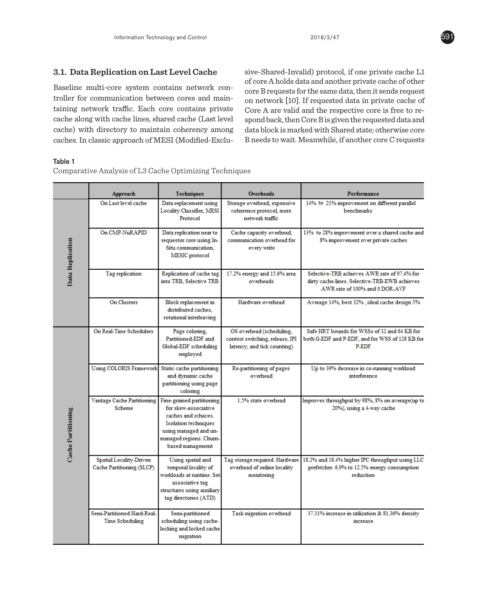Baseline multi-core system contains network controller for communication between cores and maintroller for communication between cores and main-<br>taining network traffic. Each core contains private Core A are valid and the respective core is free to recache along with cache lines, shared cache (Last level spond back, then Core B is given the requested data and cache) with directory to maintain coherency among data block is marked with Sharec<br>cochec In classic engaged of MESI (Modified Fred). B needs to wait Moonwhile if or caches. In classic approach of MESI (Modified-Exclu-Baseline multi-core system contains network concrees  $\frac{1}{\sqrt{1-\frac{1}{\sqrt{1-\frac{1}{\sqrt{1-\frac{1}{\sqrt{1-\frac{1}{\sqrt{1-\frac{1}{\sqrt{1-\frac{1}{\sqrt{1-\frac{1}{\sqrt{1-\frac{1}{\sqrt{1-\frac{1}{\sqrt{1-\frac{1}{\sqrt{1-\frac{1}{\sqrt{1-\frac{1}{\sqrt{1-\frac{1}{\sqrt{1-\frac{1}{\sqrt{1-\frac{1}{\sqrt{1-\frac{1}{\sqrt{1-\frac{1}{\sqrt{1-\frac{1}{$ 

**3.1. Data Replication on Last Level Cache** sive-Shared-Invalid) protocol, if one private cache L1<br>of core A holds data and another private cache of other sive-Shared-Invalid) protocol, if one private cache L1 of core A holds data and another private cache of other on network [10]. If requested data in private cache of Core A are valid and the respective core is free to respond back, then Core B is given the requested data and data block is marked with Shared state; otherwise core B needs to wait. Meanwhile, if another core C requests

#### Table 1 **Table 1** Comparative Analysis of L3 Cache Optimizing Techniques Analysis of L3 Cache Optimizing Techniques Techniques Techniques Analysis of L3 Cache Optimizing Techniques Analysis of L3 Cache Optimizing Techniques Analys

Comparative Analysis of L3 Cache Optimizing Techniques

|                    | Approach                                             | <b>Techniques</b>                                                                                                                                                               | <b>Overheads</b>                                                                           | Performance                                                                                                                     |
|--------------------|------------------------------------------------------|---------------------------------------------------------------------------------------------------------------------------------------------------------------------------------|--------------------------------------------------------------------------------------------|---------------------------------------------------------------------------------------------------------------------------------|
| Data Replication   | On Last level cache                                  | Data replacement using<br>Locality Classifier, MESI<br>Protocol                                                                                                                 | Storage overhead, expensive<br>coherence protocol, more<br>network traffic                 | 14% to 21% improvement on different parallel<br>benchmarks                                                                      |
|                    | On CMP-NuRAPID                                       | Data replication near to<br>requestor core using In-<br>Situ communication.<br>MESIC protocol                                                                                   | Cache capacity overhead,<br>communication overhead for<br>every write                      | 13% to 28% improvement over a shared cache and<br>8% improvement over private caches                                            |
|                    | Tag replication                                      | Replication of cache tag<br>into TRB. Selective TRB                                                                                                                             | 17.2% energy and 15.6% area<br>overheads                                                   | Selective-TRB achieves AWR rate of 97.4% for<br>dirty cache-lines. Selective-TRB-EWB achieves<br>AWR rate of 100% and 0 DOR-AVF |
|                    | On Clusters                                          | Block replacement in<br>distributed caches.<br>rotational interleaving                                                                                                          | Hardware overhead                                                                          | Average 14%, best 32%, ideal cache design 5%                                                                                    |
| Cache Partitioning | On Real-Time Schedulers                              | Page coloring,<br>Partitioned-EDF and<br>Global-EDF scheduling<br>employed                                                                                                      | OS overhead (scheduling,<br>context switching, release, IPI<br>latency, and tick counting) | Safe HRT bounds for WSSs of 32 and 64 KB for<br>both G-EDF and P-EDF, and for WSS of 128 KB for<br>P-EDF                        |
|                    | <b>Using COLORIS Framework</b>                       | Static cache partitioning<br>and dynamic cache<br>partitioning using page<br>coloring                                                                                           | Re-partitioning of pages<br>overhead                                                       | Up to 39% decrease in co-running workload<br>interference                                                                       |
|                    | Vantage Cache Partitioning<br><b>Scheme</b>          | Fine-grained partitioning<br>for skew-associative<br>caches and zchaces.<br><b>Isolation techniques</b><br>using managed and un-<br>managed regions. Churn-<br>based management | 1.5% state overhead                                                                        | Improves throughput by 98%, 8% on average(up to<br>20%), using a 4-way cache                                                    |
|                    | Spatial Locality-Driven<br>Cache Partitioning (SLCP) | Using spatial and<br>temporal locality of<br>workloads at runtime. Set-<br>associative tag<br>structures using auxiliary<br>tag directories (ATD)                               | Tag storage required. Hardware<br>overhead of online locality<br>monitoring                | 18.2% and 18.4% higher IPC throughput using LLC<br>prefetcher. 6.9% to 12.5% energy consumption<br>reduction                    |
|                    | Semi-Partitioned Hard-Real-<br>Time Scheduling       | Semi-partitioned<br>scheduling using cache-<br>locking and locked cache<br>migration                                                                                            | Task migration overhead                                                                    | 37.31% increase in utilization & 81.36% density<br>increase                                                                     |

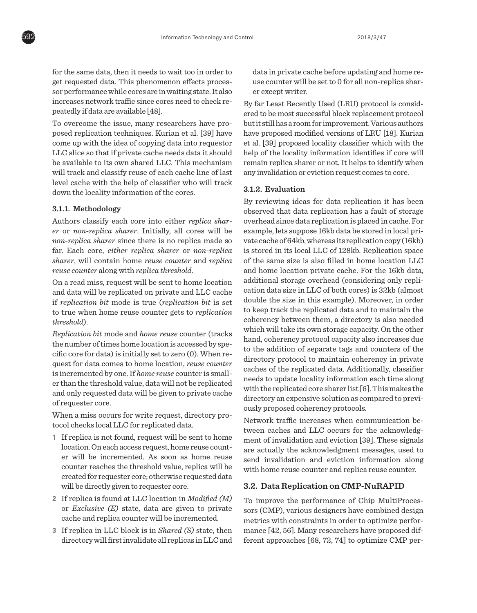for the same data, then it needs to wait too in order to get requested data. This phenomenon effects processor performance while cores are in waiting state. It also increases network traffic since cores need to check repeatedly if data are available [48].

To overcome the issue, many researchers have proposed replication techniques. Kurian et al. [39] have come up with the idea of copying data into requestor LLC slice so that if private cache needs data it should be available to its own shared LLC. This mechanism will track and classify reuse of each cache line of last level cache with the help of classifier who will track down the locality information of the cores.

#### **3.1.1. Methodology**

Authors classify each core into either *replica sharer* or *non-replica sharer*. Initially, all cores will be *non-replica sharer* since there is no replica made so far. Each core, *either replica sharer* or *non-replica sharer*, will contain home *reuse counter* and *replica reuse counter* along with *replica threshold*.

On a read miss, request will be sent to home location and data will be replicated on private and LLC cache if *replication bit* mode is true (*replication bit* is set to true when home reuse counter gets to *replication threshold*).

*Replication bit* mode and *home reuse* counter (tracks the number of times home location is accessed by specific core for data) is initially set to zero (0). When request for data comes to home location, *reuse counter* is incremented by one. If *home reuse* counter is smaller than the threshold value, data will not be replicated and only requested data will be given to private cache of requester core.

When a miss occurs for write request, directory protocol checks local LLC for replicated data.

- **1** If replica is not found, request will be sent to home location. On each access request, home reuse counter will be incremented. As soon as home reuse counter reaches the threshold value, replica will be created for requester core; otherwise requested data will be directly given to requester core.
- **2** If replica is found at LLC location in *Modified (M)* or *Exclusive (E)* state, data are given to private cache and replica counter will be incremented.
- **3** If replica in LLC block is in *Shared (S)* state, then directory will first invalidate all replicas in LLC and

data in private cache before updating and home reuse counter will be set to 0 for all non-replica sharer except writer.

By far Least Recently Used (LRU) protocol is considered to be most successful block replacement protocol but it still has a room for improvement. Various authors have proposed modified versions of LRU [18]. Kurian et al. [39] proposed locality classifier which with the help of the locality information identifies if core will remain replica sharer or not. It helps to identify when any invalidation or eviction request comes to core.

#### **3.1.2. Evaluation**

By reviewing ideas for data replication it has been observed that data replication has a fault of storage overhead since data replication is placed in cache. For example, lets suppose 16kb data be stored in local private cache of 64kb, whereas its replication copy (16kb) is stored in its local LLC of 128kb. Replication space of the same size is also filled in home location LLC and home location private cache. For the 16kb data, additional storage overhead (considering only replication data size in LLC of both cores) is 32kb (almost double the size in this example). Moreover, in order to keep track the replicated data and to maintain the coherency between them, a directory is also needed which will take its own storage capacity. On the other hand, coherency protocol capacity also increases due to the addition of separate tags and counters of the directory protocol to maintain coherency in private caches of the replicated data. Additionally, classifier needs to update locality information each time along with the replicated core sharer list [6]. This makes the directory an expensive solution as compared to previously proposed coherency protocols.

Network traffic increases when communication between caches and LLC occurs for the acknowledgment of invalidation and eviction [39]. These signals are actually the acknowledgment messages, used to send invalidation and eviction information along with home reuse counter and replica reuse counter.

#### **3.2. Data Replication on CMP-NuRAPID**

To improve the performance of Chip MultiProcessors (CMP), various designers have combined design metrics with constraints in order to optimize performance [42, 56]. Many researchers have proposed different approaches [68, 72, 74] to optimize CMP per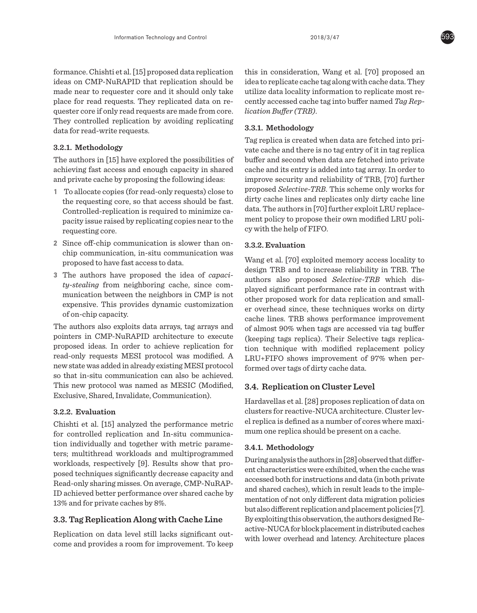formance. Chishti et al. [15] proposed data replication ideas on CMP-NuRAPID that replication should be made near to requester core and it should only take place for read requests. They replicated data on requester core if only read requests are made from core. They controlled replication by avoiding replicating data for read-write requests.

#### **3.2.1. Methodology**

The authors in [15] have explored the possibilities of achieving fast access and enough capacity in shared and private cache by proposing the following ideas:

- **1** To allocate copies (for read-only requests) close to the requesting core, so that access should be fast. Controlled-replication is required to minimize capacity issue raised by replicating copies near to the requesting core.
- **2** Since off-chip communication is slower than onchip communication, in-situ communication was proposed to have fast access to data.
- **3** The authors have proposed the idea of *capacity-stealing* from neighboring cache, since communication between the neighbors in CMP is not expensive. This provides dynamic customization of on-chip capacity.

The authors also exploits data arrays, tag arrays and pointers in CMP-NuRAPID architecture to execute proposed ideas. In order to achieve replication for read-only requests MESI protocol was modified. A new state was added in already existing MESI protocol so that in-situ communication can also be achieved. This new protocol was named as MESIC (Modified, Exclusive, Shared, Invalidate, Communication).

#### **3.2.2. Evaluation**

Chishti et al. [15] analyzed the performance metric for controlled replication and In-situ communication individually and together with metric parameters; multithread workloads and multiprogrammed workloads, respectively [9]. Results show that proposed techniques significantly decrease capacity and Read-only sharing misses. On average, CMP-NuRAP-ID achieved better performance over shared cache by 13% and for private caches by 8%.

#### **3.3. Tag Replication Along with Cache Line**

Replication on data level still lacks significant outcome and provides a room for improvement. To keep this in consideration, Wang et al. [70] proposed an idea to replicate cache tag along with cache data. They utilize data locality information to replicate most recently accessed cache tag into buffer named *Tag Replication Buffer (TRB)*.

#### **3.3.1. Methodology**

Tag replica is created when data are fetched into private cache and there is no tag entry of it in tag replica buffer and second when data are fetched into private cache and its entry is added into tag array. In order to improve security and reliability of TRB, [70] further proposed *Selective-TRB*. This scheme only works for dirty cache lines and replicates only dirty cache line data. The authors in [70] further exploit LRU replacement policy to propose their own modified LRU policy with the help of FIFO.

#### **3.3.2. Evaluation**

Wang et al. [70] exploited memory access locality to design TRB and to increase reliability in TRB. The authors also proposed *Selective-TRB* which displayed significant performance rate in contrast with other proposed work for data replication and smaller overhead since, these techniques works on dirty cache lines. TRB shows performance improvement of almost 90% when tags are accessed via tag buffer (keeping tags replica). Their Selective tags replication technique with modified replacement policy LRU+FIFO shows improvement of 97% when performed over tags of dirty cache data.

#### **3.4. Replication on Cluster Level**

Hardavellas et al. [28] proposes replication of data on clusters for reactive-NUCA architecture. Cluster level replica is defined as a number of cores where maximum one replica should be present on a cache.

#### **3.4.1. Methodology**

During analysis the authors in [28] observed that different characteristics were exhibited, when the cache was accessed both for instructions and data (in both private and shared caches), which in result leads to the implementation of not only different data migration policies but also different replication and placement policies [7]. By exploiting this observation, the authors designed Reactive-NUCA for block placement in distributed caches with lower overhead and latency. Architecture places

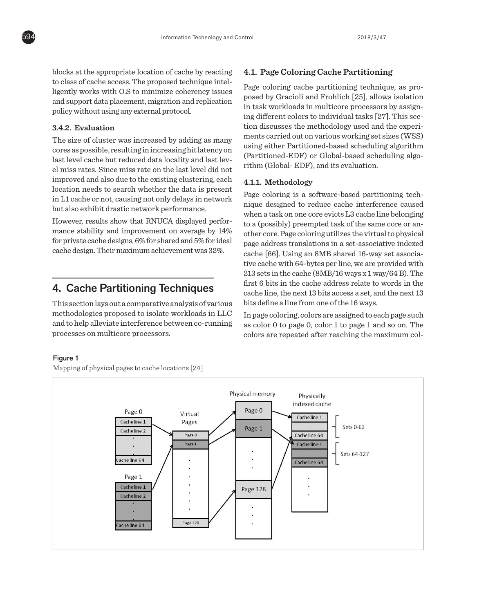blocks at the appropriate location of cache by reacting to class of cache access. The proposed technique intelligently works with O.S to minimize coherency issues and support data placement, migration and replication policy without using any external protocol.

#### **3.4.2. Evaluation**

**4.2. Evaluation**<br>The size of cluster was increased by adding as many **the size of cluster** was increased by adding as many cores as possible, resulting in increasing hit latency on last level cache but reduced data locality and last level miss rates. Since miss rate on the last level did not improved and also due to the existing clustering, each **4.1.1** Methe location needs to search whether the data is present but also exhibit drastic network performance.

However, results show that RNUCA displayed performance stability and improvement on average by 14% for private cache designs, 6% for shared and 5% for ideal page address cache design. Their maximum achievement was 32%.

This section lays out a comparative analysis of various nus section ays out a comparative analysis or various and statement a line from one or and 10 ways.<br>methodologies proposed to isolate workloads in LLC  $\qquad$  In page coloring, colors are assigned to each page such processes on multicore processors.

#### **4.1. Page Coloring Cache Partitioning**

Page coloring cache partitioning technique, as proposed by Gracioli and Frohlich [25], allows isolation in task workloads in multicore processors by assigning different colors to individual tasks [27]. This section discusses the methodology used and the experiments carried out on various working set sizes (WSS) is of cluster was increased by adding as many<br>peroscible resulting in increasing bit lateney on we was either Partitioned-based scheduling algorithm spossible, resulting infinereasing intractive on<br>vol cache but reduced data locality and last love. (Partitioned-EDF) or Global-based scheduling algorithm (Global- EDF), and its evaluation.

#### **4.1.1. Methodology**

in L1 cache or not, causing not only delays in network in the coloring to a solution called partitioning techni 4. Cache Partitioning Techniques  $\frac{\text{first to bits in the cache address relate to words in the text 13}}{\text{cache line the next 13 bits access a set and the next 13}}$ Page coloring is a software-based partitioning technique designed to reduce cache interference caused so exhibit drastic network performance.<br>
when a task on one core evicts L3 cache line belonging ver, results show that RNUCA displayed perfor-<br>to a (possibly) preempted task of the same core or an-Example if the virtual to physical stability and improvement on average by  $14\%$  other core. Page coloring utilizes the virtual to physical page address translations in a set-associative indexed cache [66]. Using an 8MB shared 16-way set associative cache with 64-bytes per line, we are provided with 213 sets in the cache (8MB/16 ways x 1 way/64 B). The first 6 bits in the cache address relate to words in the cache line, the next 13 bits access a set, and the next 13 ection lays out a comparative analysis of various bits define a line from one of the 16 ways.

 $\frac{1}{2}$  and to help alleviate interference between co-running as color 0 to page 0, color 1 to page 1 and so on. The In page coloring, colors are assigned to each page such as color 0 to page 0, color 1 to page 1 and so on. The  $\frac{1}{2}$  sets in the colors are repeated after reaching the maximum col-<br>sets on multicore processors.  $\frac{1}{2}$  colors are repeated after reaching the maximum colrelate to words in the cachet line, the next 13 bits and the next 13 bits defined a line from one from one from one from one from one from one from one from one from one from one from one from one from one from one from on

#### Figure 1 of the 16 ways.

Mapping of physical pages to cache locations [24]

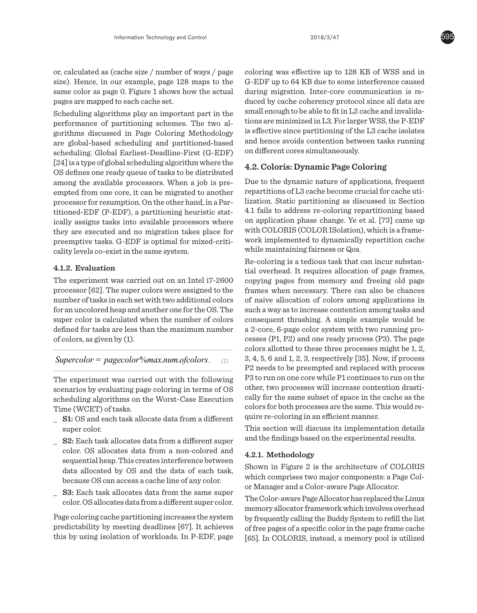or, calculated as (cache size / number of ways / page size). Hence, in our example, page 128 maps to the same color as page 0. Figure 1 shows how the actual pages are mapped to each cache set.

Scheduling algorithms play an important part in the performance of partitioning schemes. The two algorithms discussed in Page Coloring Methodology are global-based scheduling and partitioned-based scheduling. Global Earliest-Deadline-First (G-EDF) [24] is a type of global scheduling algorithm where the OS defines one ready queue of tasks to be distributed among the available processors. When a job is preempted from one core, it can be migrated to another processor for resumption. On the other hand, in a Partitioned-EDF (P-EDF), a partitioning heuristic statically assigns tasks into available processors where they are executed and no migration takes place for preemptive tasks. G-EDF is optimal for mixed-criticality levels co-exist in the same system.

#### **4.1.2. Evaluation**

The experiment was carried out on an Intel i7-2600 processor [62]. The super colors were assigned to the number of tasks in each set with two additional colors for an uncolored heap and another one for the OS. The super color is calculated when the number of colors defined for tasks are less than the maximum number of colors, as given by (1).

 $Supercolor = pagecolor%$ *max.num.ofcolors.* (1)

The experiment was carried out with the following scenarios by evaluating page coloring in terms of OS scheduling algorithms on the Worst-Case Execution Time (WCET) of tasks.

- **\_ S1:** OS and each task allocate data from a different super color.
- **\_ S2:** Each task allocates data from a different super color. OS allocates data from a non-colored and sequential heap. This creates interference between data allocated by OS and the data of each task, because OS can access a cache line of any color.
- **\_ S3:** Each task allocates data from the same super color. OS allocates data from a different super color.

Page coloring cache partitioning increases the system predictability by meeting deadlines [67]. It achieves this by using isolation of workloads. In P-EDF, page coloring was effective up to 128 KB of WSS and in G-EDF up to 64 KB due to some interference caused during migration. Inter-core communication is reduced by cache coherency protocol since all data are small enough to be able to fit in L2 cache and invalidations are minimized in L3. For larger WSS, the P-EDF is effective since partitioning of the L3 cache isolates and hence avoids contention between tasks running on different cores simultaneously.

#### **4.2. Coloris: Dynamic Page Coloring**

Due to the dynamic nature of applications, frequent repartitions of L3 cache become crucial for cache utilization. Static partitioning as discussed in Section 4.1 fails to address re-coloring repartitioning based on application phase change. Ye et al. [73] came up with COLORIS (COLOR ISolation), which is a framework implemented to dynamically repartition cache while maintaining fairness or Qos.

Re-coloring is a tedious task that can incur substantial overhead. It requires allocation of page frames, copying pages from memory and freeing old page frames when necessary. There can also be chances of naive allocation of colors among applications in such a way as to increase contention among tasks and consequent thrashing. A simple example would be a 2-core, 6-page color system with two running processes (P1, P2) and one ready process (P3). The page colors allotted to these three processes might be 1, 2, 3, 4, 5, 6 and 1, 2, 3, respectively [35]. Now, if process P2 needs to be preempted and replaced with process P3 to run on one core while P1 continues to run on the other, two processes will increase contention drastically for the same subset of space in the cache as the colors for both processes are the same. This would require re-coloring in an efficient manner.

This section will discuss its implementation details and the findings based on the experimental results.

#### **4.2.1. Methodology**

Shown in Figure 2 is the architecture of COLORIS which comprises two major components: a Page Color Manager and a Color-aware Page Allocator.

The Color-aware Page Allocator has replaced the Linux memory allocator framework which involves overhead by frequently calling the Buddy System to refill the list of free pages of a specific color in the page frame cache [65]. In COLORIS, instead, a memory pool is utilized

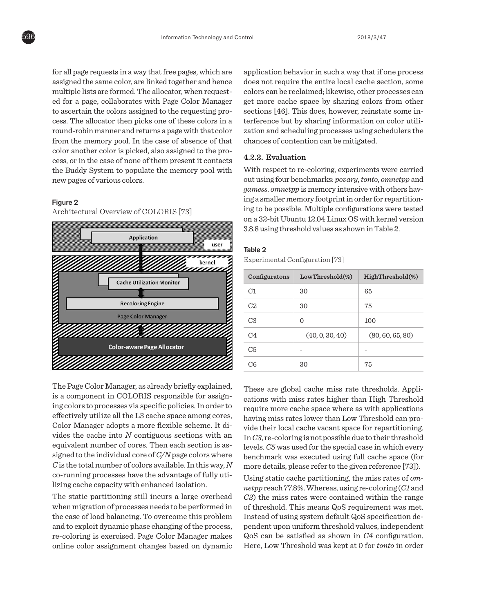for all page requests in a way that free pages, which are assigned the same color, are linked together and hence does not require the entire local cache sec multiple lists are formed. The allocator, when requested for a page, collaborates with Page Color Manager to a page, conducted with rage Color-Manager get more cache space by sharing colors is<br>to ascertain the colors assigned to the requesting pro-<br>sections [46]. This does, however, reinstate cess. The allocator then picks one of these colors in a terference but by sharing information on c round-robin manner and returns a page with that color and scheduling processes using sche from the memory pool. In the case of absence of that chances of contention can be mitigated.  $\frac{1}{\sqrt{1-\frac{1}{\sqrt{1-\frac{1}{\sqrt{1-\frac{1}{\sqrt{1-\frac{1}{\sqrt{1-\frac{1}{\sqrt{1-\frac{1}{\sqrt{1-\frac{1}{\sqrt{1-\frac{1}{\sqrt{1-\frac{1}{\sqrt{1-\frac{1}{\sqrt{1-\frac{1}{\sqrt{1-\frac{1}{\sqrt{1-\frac{1}{\sqrt{1-\frac{1}{\sqrt{1-\frac{1}{\sqrt{1-\frac{1}{\sqrt{1-\frac{1}{\sqrt{1-\frac{1}{\sqrt{1-\frac{1}{\sqrt{1-\frac{1}{\sqrt{1-\frac{1}{\sqrt{1-\frac{1}{\sqrt{1-\frac{1}{\sqrt{1-\frac{1$ cess, or in the case of none of them present it contacts  $\frac{4.2.2}{4.2.2}$ . Evaluation the Buddy System to populate the memory pool with With respect to re-coloring, experiments we new pages of various colors.

#### Figure 2

Architectural Overview of COLORIS [73]



The Page Color Manager, as already briefly explained, These The Page Color Manager Color Manager Color Manager Coloris require more cache space where as with a<br>effectively utilize all the L3 cache space among cores, having miss rates lower than Low Threshol Color Manager adopts a more flexible scheme. It di-<br>
vide their local cache vacant space for repa vides the cache into *N* contiguous sections with an  $\overline{p}$   $\overline{p}$  re-coloring is not possible due to their equivalent number of cores. Then each section is as-<br>levels. C5 was used for the special case in w signed to the individual core of *C/N* page colors where benchmark was executed using full cache  $C$  is the total number of colors available. In this way,  $N_{\rm max}$ co-running processes have the advantage of fully uti-<br>
Using static cache partitioning, the miss rates of *om*is a component in COLORIS responsible for assigning colors to processes via specific policies. In order to co-running processes have the advantage of fully utilizing cache capacity with enhanced isolation.

The static partitioning still incurs a large overhead  $C2$ ) the miss rates were contained within when migration of processes needs to be performed in of threshold. This means  $QoS$  requirement the case of load balancing. To overcome this problem and to exploit dynamic phase changing of the process, re-coloring is exercised. Page Color Manager makes online color assignment changes based on dynamic

application behavior in such a way that if one process does not require the entire local cache section, some colors can be reclaimed; likewise, other processes can get more cache space by sharing colors from other sections [46]. This does, however, reinstate some interference but by sharing information on color utilization and scheduling processes using schedulers the chances of contention can be mitigated.

#### **4.2.2. Evaluation**

new pages of various colors.  $\qquad \qquad \text{out using four benchmarks: } power, \textit{tonto}, \textit{omnetpp} \text{ and}$  $\emph{games}$ With respect to re-coloring, experiments were carried *gamess*. *omnetpp* is memory intensive with others having a smaller memory footprint in order for repartitioning to be possible. Multiple configurations were tested on a 32-bit Ubuntu 12.04 Linux OS with kernel version 3.8.8 using threshold values as shown in Table 2.

#### Table 2

Experimental Configuration [73]

| Configuratons  | $LowThreshold(\%)$ | $HighThreshold(\%)$ |
|----------------|--------------------|---------------------|
| C1             | 30                 | 65                  |
| C <sub>2</sub> | 30                 | 75                  |
| C <sub>3</sub> | $\Omega$           | 100                 |
| C4             | (40, 0, 30, 40)    | (80, 60, 65, 80)    |
| C5             |                    |                     |
| C6             | 30                 | 75                  |

These are global cache miss rate thresholds. Applications with miss rates higher than High Threshold require more cache space where as with applications having miss rates lower than Low Threshold can provide their local cache vacant space for repartitioning. In *C3*, re-coloring is not possible due to their threshold levels. *C5* was used for the special case in which every benchmark was executed using full cache space (for more details, please refer to the given reference [73]).

in the case of this problem and to overcome this problem and the coloring and the coloring of the coloring of the  $n$  and  $n$  and  $n$  and  $n$  and  $n$  and  $n$  and  $n$  and  $n$  and  $n$  and  $n$  and  $n$  and  $n$  and  $n$  and  $n$  *C2*) the miss rates were contained within the range of threshold. This means QoS requirement was met. Instead of using system default QoS specification dependent upon uniform threshold values, independent QoS can be satisfied as shown in *C4* configuration. Here, Low Threshold was kept at 0 for *tonto* in order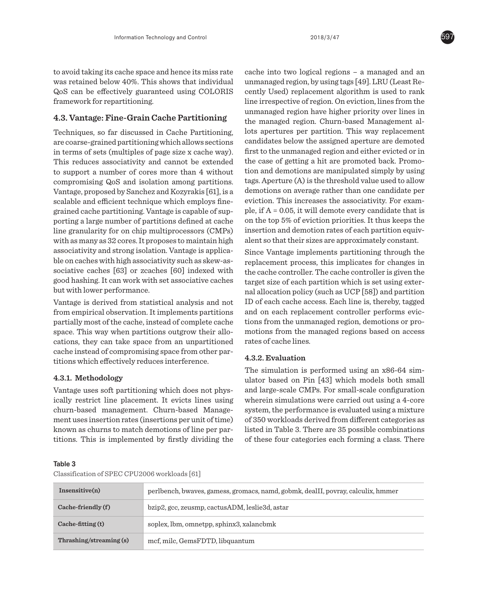to avoid taking its cache space and hence its miss rate was retained below 40%. This shows that individual QoS can be effectively guaranteed using COLORIS framework for repartitioning.

#### **4.3. Vantage: Fine-Grain Cache Partitioning**

Techniques, so far discussed in Cache Partitioning, are coarse-grained partitioning which allows sections in terms of sets (multiples of page size x cache way). This reduces associativity and cannot be extended to support a number of cores more than 4 without compromising QoS and isolation among partitions. Vantage, proposed by Sanchez and Kozyrakis [61], is a scalable and efficient technique which employs finegrained cache partitioning. Vantage is capable of supporting a large number of partitions defined at cache line granularity for on chip multiprocessors (CMPs) with as many as 32 cores. It proposes to maintain high associativity and strong isolation. Vantage is applicable on caches with high associativity such as skew-associative caches [63] or zcaches [60] indexed with good hashing. It can work with set associative caches but with lower performance.

Vantage is derived from statistical analysis and not from empirical observation. It implements partitions partially most of the cache, instead of complete cache space. This way when partitions outgrow their allocations, they can take space from an unpartitioned cache instead of compromising space from other partitions which effectively reduces interference.

#### **4.3.1. Methodology**

Vantage uses soft partitioning which does not physically restrict line placement. It evicts lines using churn-based management. Churn-based Management uses insertion rates (insertions per unit of time) known as churns to match demotions of line per partitions. This is implemented by firstly dividing the cache into two logical regions – a managed and an unmanaged region, by using tags [49]. LRU (Least Recently Used) replacement algorithm is used to rank line irrespective of region. On eviction, lines from the unmanaged region have higher priority over lines in the managed region. Churn-based Management allots apertures per partition. This way replacement candidates below the assigned aperture are demoted first to the unmanaged region and either evicted or in the case of getting a hit are promoted back. Promotion and demotions are manipulated simply by using tags. Aperture (A) is the threshold value used to allow demotions on average rather than one candidate per eviction. This increases the associativity. For example, if A = 0.05, it will demote every candidate that is on the top 5% of eviction priorities. It thus keeps the insertion and demotion rates of each partition equivalent so that their sizes are approximately constant.

Since Vantage implements partitioning through the replacement process, this implicates for changes in the cache controller. The cache controller is given the target size of each partition which is set using external allocation policy (such as UCP [58]) and partition ID of each cache access. Each line is, thereby, tagged and on each replacement controller performs evictions from the unmanaged region, demotions or promotions from the managed regions based on access rates of cache lines.

#### **4.3.2. Evaluation**

The simulation is performed using an x86-64 simulator based on Pin [43] which models both small and large-scale CMPs. For small-scale configuration wherein simulations were carried out using a 4-core system, the performance is evaluated using a mixture of 350 workloads derived from different categories as listed in Table 3. There are 35 possible combinations of these four categories each forming a class. There

#### Table 3

#### Classification of SPEC CPU2006 workloads [61]

| Insensitive(n)            | perlbench, bwayes, gamess, gromacs, namd, gobmk, dealII, povray, calculix, hmmer |
|---------------------------|----------------------------------------------------------------------------------|
| Cache-friendly (f)        | bzip2, gcc, zeusmp, cactusADM, leslie3d, astar                                   |
| $Cache-fitting(t)$        | soplex, lbm, omnetpp, sphinx3, xalancbmk                                         |
| Thrashing/streaming $(s)$ | mcf, milc, GemsFDTD, libquantum                                                  |

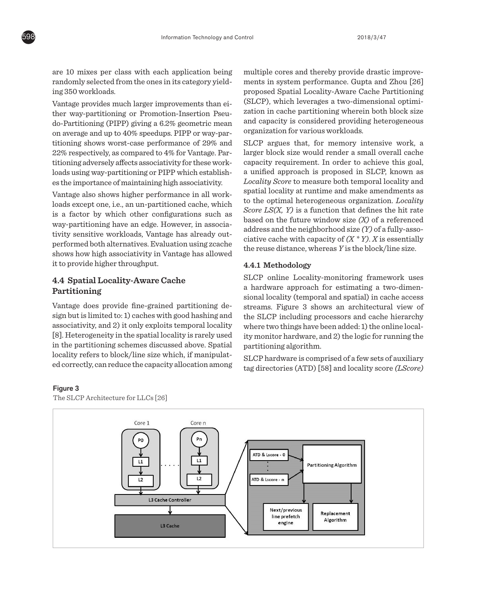are 10 mixes per class with each application being randomly selected from the ones in its category yield-**heart in system performan**<br>ing 350 workloads ing 350 workloads.

Vantage provides much larger improvements than either way-partitioning or Promotion-Insertion Pseudo-Partitioning (PIPP) giving a 6.2% geometric mean on average and up to  $40\%$  speedups. PIPP or way-par-<br>organization for various workloads. titioning shows worst-case performance of 29% and 22% respectively, as compared to 4% for Vantage. Pares the importance of maintaining high associativity.

Vantage also shows higher performance in all workloads except one, i.e., an un-partitioned cache, which is a factor by which other configurations such as way-partitioning have an edge. However, in associativity sensitive workloads, Vantage has already outshows how high associativity in Vantage has allowed and reuse distance, whereas *Y* is the block/line size. it to provide higher throughput.

#### **4.4 Spatial Locality-Aware Cache 4.4.1 Methodology Partitioning**

Vantage does provide fine-grained partitioning design but is limited to: 1) caches with good hashing and associativity, and 2) it only exploits temporal locality [8]. Heterogeneity in the spatial locality is rarely used  $\frac{1}{2}$  in the spatial is referred above. Spatial  $\frac{1}{2}$  monitor hardware, and  $z$ ) the logic for the partitioning schemes discussed above. Spatial partitioning algorithm. not the parameters of the state of the companist of the parameters of a few sets of auxiliary tagget in the size which, if manipulaters (SLCP hardware is comprised of a few sets of auxiliary  $\sigma$ 

multiple cores and thereby provide drastic improvements in system performance. Gupta and Zhou [26] proposed Spatial Locality-Aware Cache Partitioning (SLCP), which leverages a two-dimensional optimiprovides much larger improvements than en-<br>w-partitioning or Promotion-Insertion Pseu-<br> itioning (PIPP) giving a 6.2% geometric mean and capacity is considered providing heterogeneous organization for various workloads.

titioning adversely affects associativity for these work-capacity requirement. In order to achieve this goal, loads using way-partitioning or PIPP which establish-<br>where a little capacity is considered provided by the capacity is considered provided by the capacity or various organization for various organization for various capac rative cache with capacity of  $(X \cap Y)$ . A is essentially<br>performed both alternatives. Evaluation using zcache g shows worst-case performance of 29% and SLCP argues that, for memory intensive work, a pectively, as compared to 4% for Vantage. Par- larger block size would render a small overall cache capacity requirement. In order to achieve this goal, a unified approach is proposed in SLCP, known as *Locality Score* to measure both temporal locality and spatial locality at runtime and make amendments as to the optimal heterogeneous organization. *Locality* **Example 2001** and the memory international care work, and intensive work one i.e. an un-partitioned cache which to the optimal heterogeneous organization. *Locality* cept one, i.e., an un-partitioned cacne, which<br>tor by which other configurations such as Score  $LS(X, Y)$  is a function that defines the hit rate to by winter computations such as based on the future window size *(X)* of a referenced address and the neighborhood size *(Y)* of a fully-asso-<br>ansitive workloads. Vantage has already outciative cache with capacity of *(X \* Y)*. *X* is essentially the reuse distance, whereas *Y* is the block/line size.

#### **4.4.1 Methodology**

SLCP online Locality-monitoring framework uses a hardware approach for estimating a two-dimensional locality (temporal and spatial) in cache access does provide fine-grained partitioning de-<br>streams. Figure 3 shows an architectural view of is limited to: 1) caches with good hashing and  $\mu$  the SLCP including processors and cache hierarchy livity, and 2) it only exploits temporal locality where two things have been added: 1) the online local-<br>crossors it in the anotial locality is repelyinged ity monitor hardware, and 2) the logic for running the partitioning algorithm.

out individual scompissed of a few sets of auxiliary<br>ed correctly, can reduce the capacity allocation among  $\frac{1}{\log d}$  to directories (ATD) [58] and locality score *(LScore* ) SLCP hardware is comprised of a few sets of auxiliary tag directories (ATD) [58] and locality score *(LScore)*<br>tag directories (ATD) [58] and locality score *(LScore)* 

#### Figure 3 for different cache capacity. The LScore counters are used to record cache hits in the ATDs when varying

The SLCP Architecture for LLCs [26]

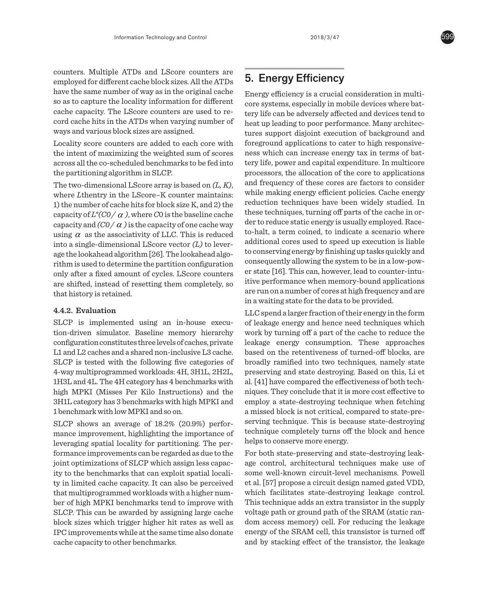counters. Multiple ATDs and LScore counters are employed for different cache block sizes. All the ATDs have the same number of way as in the original cache so as to capture the locality information for different cache capacity. The LScore counters are used to record cache hits in the ATDs when varying number of ways and various block sizes are assigned.

Locality score counters are added to each core with the intent of maximizing the weighted sum of scores across all the co-scheduled benchmarks to be fed into the partitioning algorithm in SLCP.

The two-dimensional LScore array is based on *(L, K)*, where *L*thentry in the LScore–K counter maintains: 1) the number of cache hits for block size K, and 2) the capacity of  $L^*(CO / \alpha)$ , where *C*0 is the baseline cache capacity and  $CO / \alpha$  ) is the capacity of one cache way using  $\alpha$  as the associativity of LLC. This is reduced into a single-dimensional LScore vector *(L)* to leverage the lookahead algorithm [26]. The lookahead algorithm is used to determine the partition configuration only after a fixed amount of cycles. LScore counters are shifted, instead of resetting them completely, so that history is retained.

#### **4.4.2. Evaluation**

SLCP is implemented using an in-house execution-driven simulator. Baseline memory hierarchy configuration constitutes three levels of caches, private L1 and L2 caches and a shared non-inclusive L3 cache. SLCP is tested with the following five categories of 4-way multiprogrammed workloads: 4H, 3H1L, 2H2L, 1H3L and 4L. The 4H category has 4 benchmarks with high MPKI (Misses Per Kilo Instructions) and the 3H1L category has 3 benchmarks with high MPKI and 1 benchmark with low MPKI and so on.

SLCP shows an average of 18.2% (20.9%) performance improvement, highlighting the importance of leveraging spatial locality for partitioning. The performance improvements can be regarded as due to the joint optimizations of SLCP which assign less capacity to the benchmarks that can exploit spatial locality in limited cache capacity. It can also be perceived that multiprogrammed workloads with a higher number of high MPKI benchmarks tend to improve with SLCP. This can be awarded by assigning large cache block sizes which trigger higher hit rates as well as IPC improvements while at the same time also donate cache capacity to other benchmarks.

# 5. Energy Efficiency

Energy efficiency is a crucial consideration in multicore systems, especially in mobile devices where battery life can be adversely affected and devices tend to heat up leading to poor performance. Many architectures support disjoint execution of background and foreground applications to cater to high responsiveness which can increase energy tax in terms of battery life, power and capital expenditure. In multicore processors, the allocation of the core to applications and frequency of these cores are factors to consider while making energy efficient policies. Cache energy reduction techniques have been widely studied. In these techniques, turning off parts of the cache in order to reduce static energy is usually employed. Raceto-halt, a term coined, to indicate a scenario where additional cores used to speed up execution is liable to conserving energy by finishing up tasks quickly and consequently allowing the system to be in a low-power state [16]. This can, however, lead to counter-intuitive performance when memory-bound applications are run on a number of cores at high frequency and are in a waiting state for the data to be provided.

LLC spend a larger fraction of their energy in the form of leakage energy and hence need techniques which work by turning off a part of the cache to reduce the leakage energy consumption. These approaches based on the retentiveness of turned-off blocks, are broadly ramified into two techniques, namely state preserving and state destroying. Based on this, Li et al. [41] have compared the effectiveness of both techniques. They conclude that it is more cost effective to employ a state-destroying technique when fetching a missed block is not critical, compared to state-preserving technique. This is because state-destroying technique completely turns off the block and hence helps to conserve more energy.

For both state-preserving and state-destroying leakage control, architectural techniques make use of some well-known circuit-level mechanisms. Powell et al. [57] propose a circuit design named gated VDD, which facilitates state-destroying leakage control. This technique adds an extra transistor in the supply voltage path or ground path of the SRAM (static random access memory) cell. For reducing the leakage energy of the SRAM cell, this transistor is turned off and by stacking effect of the transistor, the leakage

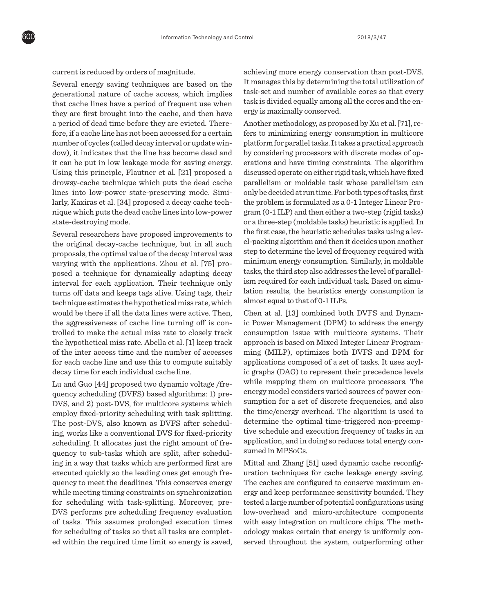current is reduced by orders of magnitude.

Several energy saving techniques are based on the generational nature of cache access, which implies that cache lines have a period of frequent use when they are first brought into the cache, and then have a period of dead time before they are evicted. Therefore, if a cache line has not been accessed for a certain number of cycles (called decay interval or update window), it indicates that the line has become dead and it can be put in low leakage mode for saving energy. Using this principle, Flautner et al. [21] proposed a drowsy-cache technique which puts the dead cache lines into low-power state-preserving mode. Similarly, Kaxiras et al. [34] proposed a decay cache technique which puts the dead cache lines into low-power state-destroying mode.

Several researchers have proposed improvements to the original decay-cache technique, but in all such proposals, the optimal value of the decay interval was varying with the applications. Zhou et al. [75] proposed a technique for dynamically adapting decay interval for each application. Their technique only turns off data and keeps tags alive. Using tags, their technique estimates the hypothetical miss rate, which would be there if all the data lines were active. Then, the aggressiveness of cache line turning off is controlled to make the actual miss rate to closely track the hypothetical miss rate. Abella et al. [1] keep track of the inter access time and the number of accesses for each cache line and use this to compute suitably decay time for each individual cache line.

Lu and Guo [44] proposed two dynamic voltage /frequency scheduling (DVFS) based algorithms: 1) pre-DVS, and 2) post-DVS, for multicore systems which employ fixed-priority scheduling with task splitting. The post-DVS, also known as DVFS after scheduling, works like a conventional DVS for fixed-priority scheduling. It allocates just the right amount of frequency to sub-tasks which are split, after scheduling in a way that tasks which are performed first are executed quickly so the leading ones get enough frequency to meet the deadlines. This conserves energy while meeting timing constraints on synchronization for scheduling with task-splitting. Moreover, pre-DVS performs pre scheduling frequency evaluation of tasks. This assumes prolonged execution times for scheduling of tasks so that all tasks are completed within the required time limit so energy is saved,

achieving more energy conservation than post-DVS. It manages this by determining the total utilization of task-set and number of available cores so that every task is divided equally among all the cores and the energy is maximally conserved.

Another methodology, as proposed by Xu et al. [71], refers to minimizing energy consumption in multicore platform for parallel tasks. It takes a practical approach by considering processors with discrete modes of operations and have timing constraints. The algorithm discussed operate on either rigid task, which have fixed parallelism or moldable task whose parallelism can only be decided at run time. For both types of tasks, first the problem is formulated as a 0-1 Integer Linear Program (0-1 ILP) and then either a two-step (rigid tasks) or a three-step (moldable tasks) heuristic is applied. In the first case, the heuristic schedules tasks using a level-packing algorithm and then it decides upon another step to determine the level of frequency required with minimum energy consumption. Similarly, in moldable tasks, the third step also addresses the level of parallelism required for each individual task. Based on simulation results, the heuristics energy consumption is almost equal to that of 0-1 ILPs.

Chen at al. [13] combined both DVFS and Dynamic Power Management (DPM) to address the energy consumption issue with multicore systems. Their approach is based on Mixed Integer Linear Programming (MILP), optimizes both DVFS and DPM for applications composed of a set of tasks. It uses acylic graphs (DAG) to represent their precedence levels while mapping them on multicore processors. The energy model considers varied sources of power consumption for a set of discrete frequencies, and also the time/energy overhead. The algorithm is used to determine the optimal time-triggered non-preemptive schedule and execution frequency of tasks in an application, and in doing so reduces total energy consumed in MPSoCs.

Mittal and Zhang [51] used dynamic cache reconfiguration techniques for cache leakage energy saving. The caches are configured to conserve maximum energy and keep performance sensitivity bounded. They tested a large number of potential configurations using low-overhead and micro-architecture components with easy integration on multicore chips. The methodology makes certain that energy is uniformly conserved throughout the system, outperforming other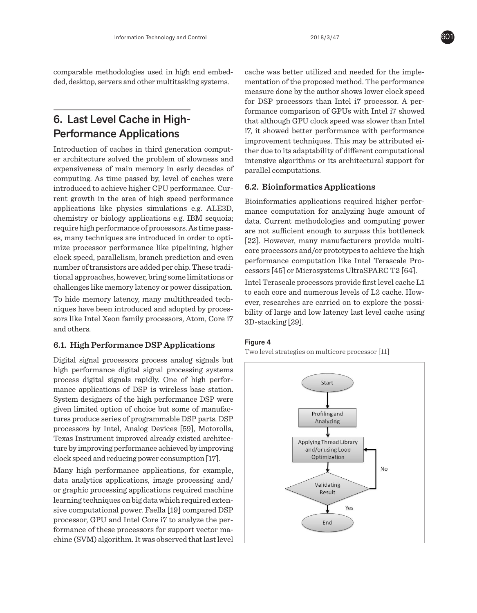comparable methodologies used in high end embedded, desktop, servers and other multitasking systems.

# 6. Last Level Cache in High-Performance Applications

Introduction of caches in third generation computer architecture solved the problem of slowness and expensiveness of main memory in early decades of computing. As time passed by, level of caches were introduced to achieve higher CPU performance. Current growth in the area of high speed performance applications like physics simulations e.g. ALE3D, chemistry or biology applications e.g. IBM sequoia; require high performance of processors. As time passes, many techniques are introduced in order to optimize processor performance like pipelining, higher clock speed, parallelism, branch prediction and even number of transistors are added per chip. These traditional approaches, however, bring some limitations or challenges like memory latency or power dissipation.

To hide memory latency, many multithreaded techniques have been introduced and adopted by processors like Intel Xeon family processors, Atom, Core i7 and others. However, researches are carried on to explore the possibility of large and low latency last level cache

# **6.1. High Performance DSP Applications** Figure

Digital signal processors process analog signals but high performance digital signal processing systems process digital signals rapidly. One of high performance applications of DSP is wireless base station. System designers of the high performance DSP were given limited option of choice but some of manufactures produce series of programmable DSP parts. DSP processors by Intel, Analog Devices [59], Motorolla, Texas Instrument improved already existed architecture by improving performance achieved by improving clock speed and reducing power consumption [17].

Many high performance applications, for example, data analytics applications, image processing and/ or graphic processing applications required machine learning techniques on big data which required extensive computational power. Faella [19] compared DSP processor, GPU and Intel Core i7 to analyze the performance of these processors for support vector machine (SVM) algorithm. It was observed that last level cache was better utilized and needed for the implementation of the proposed method. The performance measure done by the author shows lower clock speed for DSP processors than Intel i7 processor. A performance comparison of GPUs with Intel i7 showed that although GPU clock speed was slower than Intel i7, it showed better performance with performance improvement techniques. This may be attributed either due to its adaptability of different computational intensive algorithms or its architectural support for parallel computations.

#### **6.2. Bioinformatics Applications**

Bioinformatics applications required higher performance computation for analyzing huge amount of data. Current methodologies and computing power are not sufficient enough to surpass this bottleneck [22]. However, many manufacturers provide multicore processors and/or prototypes to achieve the high performance computation like Intel Terascale Proper cnip. 1 nese tradi-cessors [45] or Microsystems UltraSPARC T2 [64].<br>g some limitations or

grome immedicing of the Terascale processors provide first level cache L1 or power dissipation. to each core and numerous levels of L2 cache. Howmultithreaded tech-<br>ever, researches are carried on to explore the possid adopted by proces-<br>bility of large and low latency last level cache using 3D-stacking [29]. Interactions, Atom, Core if and numerous graduate graduate levels of  $\alpha$ 

#### Figure 4

Two level strategies on multicore processor [11]



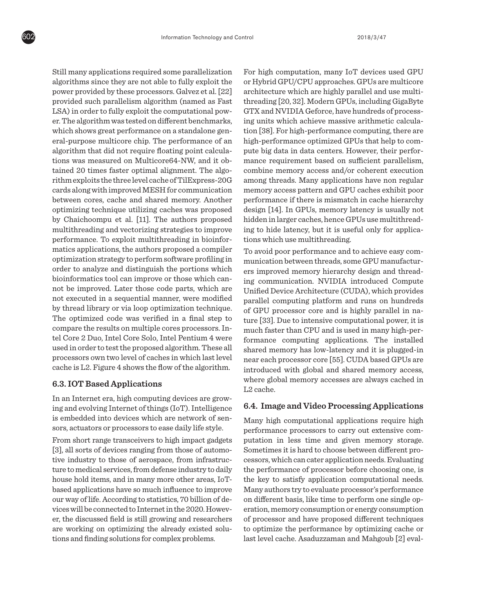Still many applications required some parallelization algorithms since they are not able to fully exploit the power provided by these processors. Galvez et al. [22] provided such parallelism algorithm (named as Fast LSA) in order to fully exploit the computational power. The algorithm was tested on different benchmarks, which shows great performance on a standalone general-purpose multicore chip. The performance of an algorithm that did not require floating point calculations was measured on Multicore64-NW, and it obtained 20 times faster optimal alignment. The algorithm exploits the three level cache of TilExpress-20G cards along with improved MESH for communication between cores, cache and shared memory. Another optimizing technique utilizing caches was proposed by Chaichoompu et al. [11]. The authors proposed multithreading and vectorizing strategies to improve performance. To exploit multithreading in bioinformatics applications, the authors proposed a compiler optimization strategy to perform software profiling in order to analyze and distinguish the portions which bioinformatics tool can improve or those which cannot be improved. Later those code parts, which are not executed in a sequential manner, were modified by thread library or via loop optimization technique. The optimized code was verified in a final step to compare the results on multiple cores processors. Intel Core 2 Duo, Intel Core Solo, Intel Pentium 4 were used in order to test the proposed algorithm. These all processors own two level of caches in which last level cache is L2. Figure 4 shows the flow of the algorithm.

#### **6.3. IOT Based Applications**

In an Internet era, high computing devices are growing and evolving Internet of things (IoT). Intelligence is embedded into devices which are network of sensors, actuators or processors to ease daily life style.

From short range transceivers to high impact gadgets [3], all sorts of devices ranging from those of automotive industry to those of aerospace, from infrastructure to medical services, from defense industry to daily house hold items, and in many more other areas, IoTbased applications have so much influence to improve our way of life. According to statistics, 70 billion of devices will be connected to Internet in the 2020. However, the discussed field is still growing and researchers are working on optimizing the already existed solutions and finding solutions for complex problems.

For high computation, many IoT devices used GPU or Hybrid GPU/CPU approaches. GPUs are multicore architecture which are highly parallel and use multithreading [20, 32]. Modern GPUs, including GigaByte GTX and NVIDIA Geforce, have hundreds of processing units which achieve massive arithmetic calculation [38]. For high-performance computing, there are high-performance optimized GPUs that help to compute big data in data centers. However, their performance requirement based on sufficient parallelism, combine memory access and/or coherent execution among threads. Many applications have non regular memory access pattern and GPU caches exhibit poor performance if there is mismatch in cache hierarchy design [14]. In GPUs, memory latency is usually not hidden in larger caches, hence GPUs use multithreading to hide latency, but it is useful only for applications which use multithreading.

To avoid poor performance and to achieve easy communication between threads, some GPU manufacturers improved memory hierarchy design and threading communication. NVIDIA introduced Compute Unified Device Architecture (CUDA), which provides parallel computing platform and runs on hundreds of GPU processor core and is highly parallel in nature [33]. Due to intensive computational power, it is much faster than CPU and is used in many high-performance computing applications. The installed shared memory has low-latency and it is plugged-in near each processor core [55]. CUDA based GPUs are introduced with global and shared memory access, where global memory accesses are always cached in L2 cache.

#### **6.4. Image and Video Processing Applications**

Many high computational applications require high performance processors to carry out extensive computation in less time and given memory storage. Sometimes it is hard to choose between different processors, which can cater application needs. Evaluating the performance of processor before choosing one, is the key to satisfy application computational needs. Many authors try to evaluate processor's performance on different basis, like time to perform one single operation, memory consumption or energy consumption of processor and have proposed different techniques to optimize the performance by optimizing cache or last level cache. Asaduzzaman and Mahgoub [2] eval-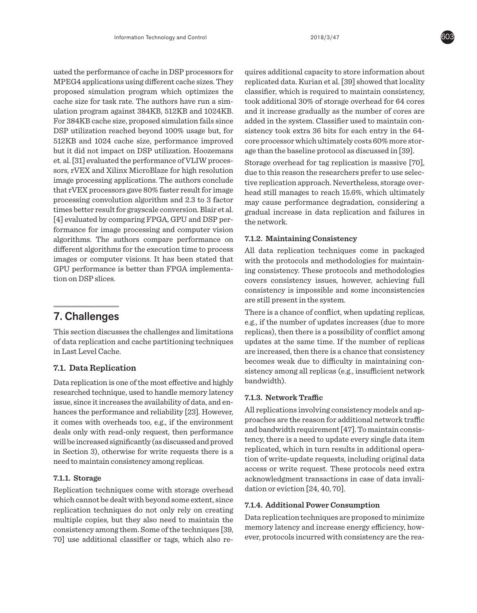uated the performance of cache in DSP processors for MPEG4 applications using different cache sizes. They proposed simulation program which optimizes the cache size for task rate. The authors have run a simulation program against 384KB, 512KB and 1024KB. For 384KB cache size, proposed simulation fails since DSP utilization reached beyond 100% usage but, for 512KB and 1024 cache size, performance improved but it did not impact on DSP utilization. Hoozemans et. al. [31] evaluated the performance of VLIW processors, rVEX and Xilinx MicroBlaze for high resolution image processing applications. The authors conclude that rVEX processors gave 80% faster result for image processing convolution algorithm and 2.3 to 3 factor times better result for grayscale conversion. Blair et al. [4] evaluated by comparing FPGA, GPU and DSP performance for image processing and computer vision algorithms. The authors compare performance on different algorithms for the execution time to process images or computer visions. It has been stated that GPU performance is better than FPGA implementation on DSP slices.

# 7. Challenges

This section discusses the challenges and limitations of data replication and cache partitioning techniques in Last Level Cache.

## **7.1. Data Replication**

Data replication is one of the most effective and highly researched technique, used to handle memory latency issue, since it increases the availability of data, and enhances the performance and reliability [23]. However, it comes with overheads too, e.g., if the environment deals only with read-only request, then performance will be increased significantly (as discussed and proved in Section 3), otherwise for write requests there is a need to maintain consistency among replicas.

## **7.1.1. Storage**

Replication techniques come with storage overhead which cannot be dealt with beyond some extent, since replication techniques do not only rely on creating multiple copies, but they also need to maintain the consistency among them. Some of the techniques [39, 70] use additional classifier or tags, which also requires additional capacity to store information about replicated data. Kurian et al. [39] showed that locality classifier, which is required to maintain consistency, took additional 30% of storage overhead for 64 cores and it increase gradually as the number of cores are added in the system. Classifier used to maintain consistency took extra 36 bits for each entry in the 64 core processor which ultimately costs 60% more storage than the baseline protocol as discussed in [39].

Storage overhead for tag replication is massive [70], due to this reason the researchers prefer to use selective replication approach. Nevertheless, storage overhead still manages to reach 15.6%, which ultimately may cause performance degradation, considering a gradual increase in data replication and failures in the network.

#### **7.1.2. Maintaining Consistency**

All data replication techniques come in packaged with the protocols and methodologies for maintaining consistency. These protocols and methodologies covers consistency issues, however, achieving full consistency is impossible and some inconsistencies are still present in the system.

There is a chance of conflict, when updating replicas, e.g., if the number of updates increases (due to more replicas), then there is a possibility of conflict among updates at the same time. If the number of replicas are increased, then there is a chance that consistency becomes weak due to difficulty in maintaining consistency among all replicas (e.g., insufficient network bandwidth).

## **7.1.3. Network Traffic**

All replications involving consistency models and approaches are the reason for additional network traffic and bandwidth requirement [47]. To maintain consistency, there is a need to update every single data item replicated, which in turn results in additional operation of write-update requests, including original data access or write request. These protocols need extra acknowledgment transactions in case of data invalidation or eviction [24, 40, 70].

#### **7.1.4. Additional Power Consumption**

Data replication techniques are proposed to minimize memory latency and increase energy efficiency, however, protocols incurred with consistency are the rea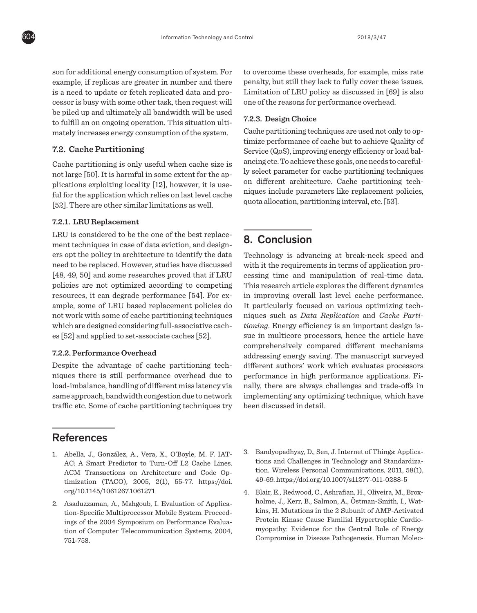son for additional energy consumption of system. For example, if replicas are greater in number and there is a need to update or fetch replicated data and processor is busy with some other task, then request will be piled up and ultimately all bandwidth will be used to fulfill an on ongoing operation. This situation ultimately increases energy consumption of the system.

#### **7.2. Cache Partitioning**

Cache partitioning is only useful when cache size is not large [50]. It is harmful in some extent for the applications exploiting locality [12], however, it is useful for the application which relies on last level cache [52]. There are other similar limitations as well.

#### **7.2.1. LRU Replacement**

LRU is considered to be the one of the best replacement techniques in case of data eviction, and designers opt the policy in architecture to identify the data need to be replaced. However, studies have discussed [48, 49, 50] and some researches proved that if LRU policies are not optimized according to competing resources, it can degrade performance [54]. For example, some of LRU based replacement policies do not work with some of cache partitioning techniques which are designed considering full-associative caches [52] and applied to set-associate caches [52].

#### **7.2.2. Performance Overhead**

Despite the advantage of cache partitioning techniques there is still performance overhead due to load-imbalance, handling of different miss latency via same approach, bandwidth congestion due to network traffic etc. Some of cache partitioning techniques try to overcome these overheads, for example, miss rate penalty, but still they lack to fully cover these issues. Limitation of LRU policy as discussed in [69] is also one of the reasons for performance overhead.

#### **7.2.3. Design Choice**

Cache partitioning techniques are used not only to optimize performance of cache but to achieve Quality of Service (QoS), improving energy efficiency or load balancing etc. To achieve these goals, one needs to carefully select parameter for cache partitioning techniques on different architecture. Cache partitioning techniques include parameters like replacement policies, quota allocation, partitioning interval, etc. [53].

# 8. Conclusion

Technology is advancing at break-neck speed and with it the requirements in terms of application processing time and manipulation of real-time data. This research article explores the different dynamics in improving overall last level cache performance. It particularly focused on various optimizing techniques such as *Data Replication* and *Cache Partitioning*. Energy efficiency is an important design issue in multicore processors, hence the article have comprehensively compared different mechanisms addressing energy saving. The manuscript surveyed different authors' work which evaluates processors performance in high performance applications. Finally, there are always challenges and trade-offs in implementing any optimizing technique, which have been discussed in detail.

# **References**

- 1. Abella, J., González, A., Vera, X., O'Boyle, M. F. IAT-AC: A Smart Predictor to Turn-Off L2 Cache Lines. ACM Transactions on Architecture and Code Optimization (TACO), 2005, 2(1), 55-77. https://doi. org/10.1145/1061267.1061271
- 2. Asaduzzaman, A., Mahgoub, I. Evaluation of Application-Specific Multiprocessor Mobile System. Proceedings of the 2004 Symposium on Performance Evaluation of Computer Telecommunication Systems, 2004, 751-758.
- 3. Bandyopadhyay, D., Sen, J. Internet of Things: Applications and Challenges in Technology and Standardization. Wireless Personal Communications, 2011, 58(1), 49-69. https://doi.org/10.1007/s11277-011-0288-5
- 4. Blair, E., Redwood, C., Ashrafian, H., Oliveira, M., Broxholme, J., Kerr, B., Salmon, A., Östman-Smith, I., Watkins, H. Mutations in the 2 Subunit of AMP-Activated Protein Kinase Cause Familial Hypertrophic Cardiomyopathy: Evidence for the Central Role of Energy Compromise in Disease Pathogenesis. Human Molec-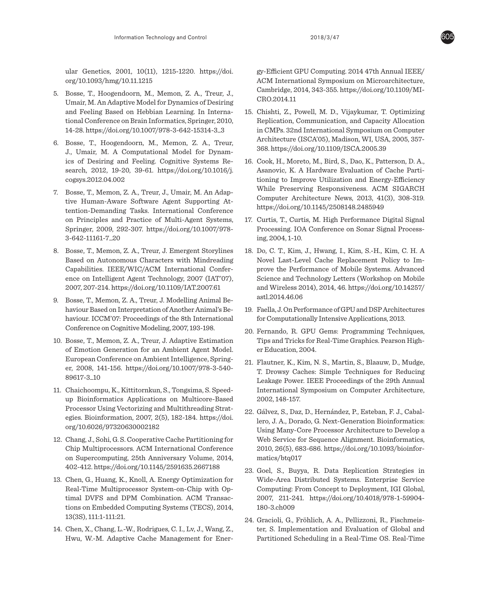ular Genetics, 2001, 10(11), 1215-1220. https://doi. org/10.1093/hmg/10.11.1215

- 5. Bosse, T., Hoogendoorn, M., Memon, Z. A., Treur, J., Umair, M. An Adaptive Model for Dynamics of Desiring and Feeling Based on Hebbian Learning. In International Conference on Brain Informatics, Springer, 2010, 14-28. https://doi.org/10.1007/978-3-642-15314-3\_3
- 6. Bosse, T., Hoogendoorn, M., Memon, Z. A., Treur, J., Umair, M. A Computational Model for Dynamics of Desiring and Feeling. Cognitive Systems Research, 2012, 19-20, 39-61. https://doi.org/10.1016/j. cogsys.2012.04.002
- 7. Bosse, T., Memon, Z. A., Treur, J., Umair, M. An Adaptive Human-Aware Software Agent Supporting Attention-Demanding Tasks. International Conference on Principles and Practice of Multi-Agent Systems, Springer, 2009, 292-307. https://doi.org/10.1007/978- 3-642-11161-7\_20
- 8. Bosse, T., Memon, Z. A., Treur, J. Emergent Storylines Based on Autonomous Characters with Mindreading Capabilities. IEEE/WIC/ACM International Conference on Intelligent Agent Technology, 2007 (IAT'07), 2007, 207-214. https://doi.org/10.1109/IAT.2007.61
- 9. Bosse, T., Memon, Z. A., Treur, J. Modelling Animal Behaviour Based on Interpretation of Another Animal's Behaviour. ICCM'07: Proceedings of the 8th International Conference on Cognitive Modeling, 2007, 193-198.
- 10. Bosse, T., Memon, Z. A., Treur, J. Adaptive Estimation of Emotion Generation for an Ambient Agent Model. European Conference on Ambient Intelligence, Springer, 2008, 141-156. https://doi.org/10.1007/978-3-540- 89617-3\_10
- 11. Chaichoompu, K., Kittitornkun, S., Tongsima, S. Speedup Bioinformatics Applications on Multicore-Based Processor Using Vectorizing and Multithreading Strategies. Bioinformation, 2007, 2(5), 182-184. https://doi. org/10.6026/97320630002182
- 12. Chang, J., Sohi, G. S. Cooperative Cache Partitioning for Chip Multiprocessors. ACM International Conference on Supercomputing, 25th Anniversary Volume, 2014, 402-412. https://doi.org/10.1145/2591635.2667188
- 13. Chen, G., Huang, K., Knoll, A. Energy Optimization for Real-Time Multiprocessor System-on-Chip with Optimal DVFS and DPM Combination. ACM Transactions on Embedded Computing Systems (TECS), 2014, 13(3S), 111:1-111:21.
- 14. Chen, X., Chang, L.-W., Rodrigues, C. I., Lv, J., Wang, Z., Hwu, W.-M. Adaptive Cache Management for Ener-

gy-Efficient GPU Computing. 2014 47th Annual IEEE/ ACM International Symposium on Microarchitecture, Cambridge, 2014, 343-355. https://doi.org/10.1109/MI-CRO.2014.11

- 15. Chishti, Z., Powell, M. D., Vijaykumar, T. Optimizing Replication, Communication, and Capacity Allocation in CMPs. 32nd International Symposium on Computer Architecture (ISCA'05), Madison, WI, USA, 2005, 357- 368. https://doi.org/10.1109/ISCA.2005.39
- 16. Cook, H., Moreto, M., Bird, S., Dao, K., Patterson, D. A., Asanovic, K. A Hardware Evaluation of Cache Partitioning to Improve Utilization and Energy-Efficiency While Preserving Responsiveness. ACM SIGARCH Computer Architecture News, 2013, 41(3), 308-319. https://doi.org/10.1145/2508148.2485949
- 17. Curtis, T., Curtis, M. High Performance Digital Signal Processing. IOA Conference on Sonar Signal Processing, 2004, 1-10.
- 18. Do, C. T., Kim, J., Hwang, I., Kim, S.-H., Kim, C. H. A Novel Last-Level Cache Replacement Policy to Improve the Performance of Mobile Systems. Advanced Science and Technology Letters (Workshop on Mobile and Wireless 2014), 2014, 46. https://doi.org/10.14257/ astl.2014.46.06
- 19. Faella, J. On Performance of GPU and DSP Architectures for Computationally Intensive Applications, 2013.
- 20. Fernando, R. GPU Gems: Programming Techniques, Tips and Tricks for Real-Time Graphics. Pearson Higher Education, 2004.
- 21. Flautner, K., Kim, N. S., Martin, S., Blaauw, D., Mudge, T. Drowsy Caches: Simple Techniques for Reducing Leakage Power. IEEE Proceedings of the 29th Annual International Symposium on Computer Architecture, 2002, 148-157.
- 22. Gálvez, S., Daz, D., Hernández, P., Esteban, F. J., Caballero, J. A., Dorado, G. Next-Generation Bioinformatics: Using Many-Core Processor Architecture to Develop a Web Service for Sequence Alignment. Bioinformatics, 2010, 26(5), 683-686. https://doi.org/10.1093/bioinformatics/btq017
- 23. Goel, S., Buyya, R. Data Replication Strategies in Wide-Area Distributed Systems. Enterprise Service Computing: From Concept to Deployment, IGI Global, 2007, 211-241. https://doi.org/10.4018/978-1-59904- 180-3.ch009
- 24. Gracioli, G., Fröhlich, A. A., Pellizzoni, R., Fischmeister, S. Implementation and Evaluation of Global and Partitioned Scheduling in a Real-Time OS. Real-Time

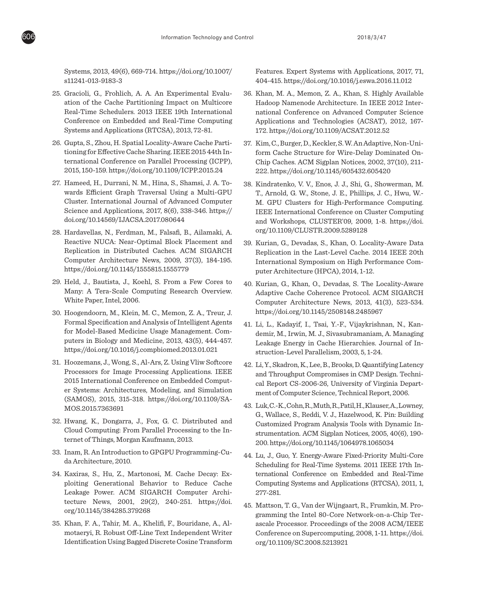

Systems, 2013, 49(6), 669-714. https://doi.org/10.1007/ s11241-013-9183-3

- 25. Gracioli, G., Frohlich, A. A. An Experimental Evaluation of the Cache Partitioning Impact on Multicore Real-Time Schedulers. 2013 IEEE 19th International Conference on Embedded and Real-Time Computing Systems and Applications (RTCSA), 2013, 72-81.
- 26. Gupta, S., Zhou, H. Spatial Locality-Aware Cache Partitioning for Effective Cache Sharing. IEEE 2015 44th International Conference on Parallel Processing (ICPP), 2015, 150-159. https://doi.org/10.1109/ICPP.2015.24
- 27. Hameed, H., Durrani, N. M., Hina, S., Shamsi, J. A. Towards Efficient Graph Traversal Using a Multi-GPU Cluster. International Journal of Advanced Computer Science and Applications, 2017, 8(6), 338-346. https:// doi.org/10.14569/IJACSA.2017.080644
- 28. Hardavellas, N., Ferdman, M., Falsafi, B., Ailamaki, A. Reactive NUCA: Near-Optimal Block Placement and Replication in Distributed Caches. ACM SIGARCH Computer Architecture News, 2009, 37(3), 184-195. https://doi.org/10.1145/1555815.1555779
- 29. Held, J., Bautista, J., Koehl, S. From a Few Cores to Many: A Tera-Scale Computing Research Overview. White Paper, Intel, 2006.
- 30. Hoogendoorn, M., Klein, M. C., Memon, Z. A., Treur, J. Formal Specification and Analysis of Intelligent Agents for Model-Based Medicine Usage Management. Computers in Biology and Medicine, 2013, 43(5), 444-457. https://doi.org/10.1016/j.compbiomed.2013.01.021
- 31. Hoozemans, J., Wong, S., Al-Ars, Z. Using Vliw Softcore Processors for Image Processing Applications. IEEE 2015 International Conference on Embedded Computer Systems: Architectures, Modeling, and Simulation (SAMOS), 2015, 315-318. https://doi.org/10.1109/SA-MOS.2015.7363691
- 32. Hwang, K., Dongarra, J., Fox, G. C. Distributed and Cloud Computing: From Parallel Processing to the Internet of Things, Morgan Kaufmann, 2013.
- 33. Inam, R. An Introduction to GPGPU Programming-Cuda Architecture, 2010.
- 34. Kaxiras, S., Hu, Z., Martonosi, M. Cache Decay: Exploiting Generational Behavior to Reduce Cache Leakage Power. ACM SIGARCH Computer Architecture News, 2001, 29(2), 240-251. https://doi. org/10.1145/384285.379268
- 35. Khan, F. A., Tahir, M. A., Khelifi, F., Bouridane, A., Almotaeryi, R. Robust Off-Line Text Independent Writer Identification Using Bagged Discrete Cosine Transform

Features. Expert Systems with Applications, 2017, 71, 404-415. https://doi.org/10.1016/j.eswa.2016.11.012

- 36. Khan, M. A., Memon, Z. A., Khan, S. Highly Available Hadoop Namenode Architecture. In IEEE 2012 International Conference on Advanced Computer Science Applications and Technologies (ACSAT), 2012, 167- 172. https://doi.org/10.1109/ACSAT.2012.52
- 37. Kim, C., Burger, D., Keckler, S. W. An Adaptive, Non-Uniform Cache Structure for Wire-Delay Dominated On-Chip Caches. ACM Sigplan Notices, 2002, 37(10), 211- 222. https://doi.org/10.1145/605432.605420
- 38. Kindratenko, V. V., Enos, J. J., Shi, G., Showerman, M. T., Arnold, G. W., Stone, J. E., Phillips, J. C., Hwu, W.- M. GPU Clusters for High-Performance Computing. IEEE International Conference on Cluster Computing and Workshops, CLUSTER'09, 2009, 1-8. https://doi. org/10.1109/CLUSTR.2009.5289128
- 39. Kurian, G., Devadas, S., Khan, O. Locality-Aware Data Replication in the Last-Level Cache. 2014 IEEE 20th International Symposium on High Performance Computer Architecture (HPCA), 2014, 1-12.
- 40. Kurian, G., Khan, O., Devadas, S. The Locality-Aware Adaptive Cache Coherence Protocol. ACM SIGARCH Computer Architecture News, 2013, 41(3), 523-534. https://doi.org/10.1145/2508148.2485967
- 41. Li, L., Kadayif, I., Tsai, Y.-F., Vijaykrishnan, N., Kandemir, M., Irwin, M. J., Sivasubramaniam, A. Managing Leakage Energy in Cache Hierarchies. Journal of Instruction-Level Parallelism, 2003, 5, 1-24.
- 42. Li, Y., Skadron, K., Lee, B., Brooks, D. Quantifying Latency and Throughput Compromises in CMP Design. Technical Report CS-2006-26, University of Virginia Department of Computer Science, Technical Report, 2006.
- 43. Luk, C.-K., Cohn, R., Muth, R., Patil, H., Klauser, A., Lowney, G., Wallace, S., Reddi, V. J., Hazelwood, K. Pin: Building Customized Program Analysis Tools with Dynamic Instrumentation. ACM Sigplan Notices, 2005, 40(6), 190- 200. https://doi.org/10.1145/1064978.1065034
- 44. Lu, J., Guo, Y. Energy-Aware Fixed-Priority Multi-Core Scheduling for Real-Time Systems. 2011 IEEE 17th International Conference on Embedded and Real-Time Computing Systems and Applications (RTCSA), 2011, 1, 277-281.
- 45. Mattson, T. G., Van der Wijngaart, R., Frumkin, M. Programming the Intel 80-Core Network-on-a-Chip Terascale Processor. Proceedings of the 2008 ACM/IEEE Conference on Supercomputing, 2008, 1-11. https://doi. org/10.1109/SC.2008.5213921